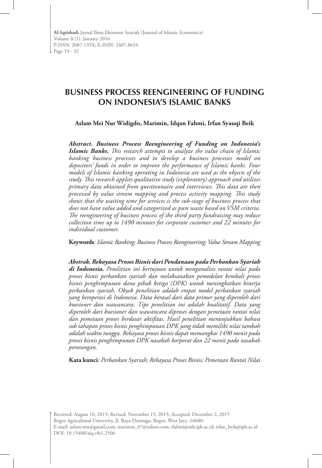# **BUSINESS PROCESS REENGINEERING OF FUNDING ON INDONESIA'S ISLAMIC BANKS**

**Aslam Mei Nur Widigdo, Marimin, Idqan Fahmi, Irfan Syauqi Beik**

*Abstract. Business Process Reengineering of Funding on Indonesia's Islamic Banks. This research attempts to analyze the value chain of Islamic banking business processes and to develop a business processes model on depositors' funds in order to improve the performance of Islamic banks. Four models of Islamic banking operating in Indonesia are used as the objects of the study. This research applies qualitative study (exploratory) approach and utilizes primary data obtained from questionnaire and interviews. This data are then processed by value stream mapping and process activity mapping. This study shows that the waiting time for services is the sub-stage of business process that does not have value added and categorized as pure waste based on VSM criteria. The reengineering of business process of the third party fundraising may reduce collection time up to 1490 minutes for corporate customer and 22 minutes for individual customer.* 

**Keywords***: Islamic Banking; Business Process Reengineering; Value Stream Mapping* 

*Abstrak. Rekayasa Proses Bisnis dari Pendanaan pada Perbankan Syariah di Indonesia. Penelitian ini bertujuan untuk menganalisis rantai nilai pada proses bisnis perbankan syariah dan melaksanakan pemodelan kembali proses bisnis penghimpunan dana pihak ketiga (DPK) untuk meningkatkan kinerja perbankan syariah. Obyek penelitian adalah empat model perbankan syariah yang beroperasi di Indonesia. Data berasal dari data primer yang diperoleh dari kuesioner dan wawancara. Tipe penelitian ini adalah kualitatif. Data yang diperoleh dari kuesioner dan wawancara diproses dengan pemetaan rantai nilai dan pemetaan proses berdasar aktifitas. Hasil penelitian menunjukkan bahwa sub tahapan proses bisnis penghimpunan DPK yang tidak memiliki nilai tambah adalah waktu tunggu. Rekayasa proses bisnis dapat memangkas 1490 menit pada proses bisnis penghimpunan DPK nasabah korporat dan 22 menit pada nasabah perorangan.*

**Kata kunci***: Perbankan Syariah; Rekayasa Proses Bisnis; Pemetaan Rantai Nilai*

Received: August 10, 2015; Revised: November 15, 2015; Accepted: December 2, 2015 Bogor Agricultural University, Jl. Raya Darmaga, Bogor, West Java -16680- E-mail: aslam.mw@gmail.com; marimin\_07@yahoo.com; ifahmi@mb.ipb.ac.id; irfan\_beik@ipb.ac.id DOI: 10.15408/aiq.v8i1.2506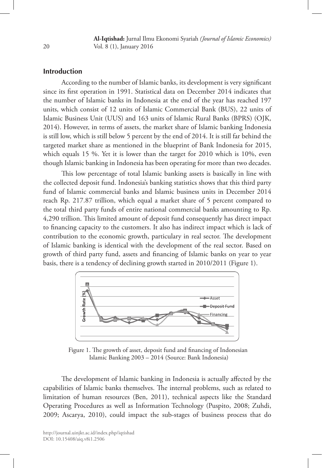**Al-Iqtishad:** Jurnal Ilmu Ekonomi Syariah *(Journal of Islamic Economics)* Vol. 8 (1), January 2016

# **Introduction**

According to the number of Islamic banks, its development is very significant since its first operation in 1991. Statistical data on December 2014 indicates that the number of Islamic banks in Indonesia at the end of the year has reached 197 units, which consist of 12 units of Islamic Commercial Bank (BUS), 22 units of Islamic Business Unit (UUS) and 163 units of Islamic Rural Banks (BPRS) (OJK, 2014). However, in terms of assets, the market share of Islamic banking Indonesia is still low, which is still below 5 percent by the end of 2014. It is still far behind the targeted market share as mentioned in the blueprint of Bank Indonesia for 2015, which equals 15 %. Yet it is lower than the target for 2010 which is 10%, even though Islamic banking in Indonesia has been operating for more than two decades.

This low percentage of total Islamic banking assets is basically in line with the collected deposit fund. Indonesia's banking statistics shows that this third party fund of Islamic commercial banks and Islamic business units in December 2014 reach Rp. 217.87 trillion, which equal a market share of 5 percent compared to the total third party funds of entire national commercial banks amounting to Rp. 4,290 trillion. This limited amount of deposit fund consequently has direct impact to financing capacity to the customers. It also has indirect impact which is lack of contribution to the economic growth, particulary in real sector. The development of Islamic banking is identical with the development of the real sector. Based on growth of third party fund, assets and financing of Islamic banks on year to year basis, there is a tendency of declining growth started in 2010/2011 (Figure 1).



 Figure 1. The growth of asset, deposit fund and financing of Indonesian Islamic Banking 2003 – 2014 (Source: Bank Indonesia)

The development of Islamic banking in Indonesia is actually affected by the capabilities of Islamic banks themselves. The internal problems, such as related to limitation of human resources (Ben, 2011), technical aspects like the Standard Operating Procedures as well as Information Technology (Puspito, 2008; Zuhdi, 2009; Ascarya, 2010), could impact the sub-stages of business process that do

20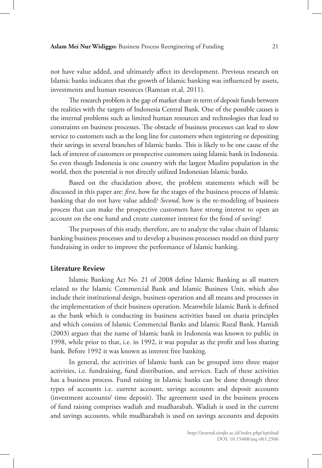not have value added, and ultimately affect its development. Previous research on Islamic banks indicates that the growth of Islamic banking was influenced by assets, investments and human resources (Ramzan et.al, 2011).

The research problem is the gap of market share in term of deposit funds between the realities with the targets of Indonesia Central Bank. One of the possible causes is the internal problems such as limited human resources and technologies that lead to constraints on business processes. The obstacle of business processes can lead to slow service to customers such as the long line for customers when registering or depositing their savings in several branches of Islamic banks. This is likely to be one cause of the lack of interest of customers or prospective customers using Islamic bank in Indonesia. So even though Indonesia is one country with the largest Muslim population in the world, then the potential is not directly utilized Indonesian Islamic banks.

Based on the elucidation above, the problem statements which will be discussed in this paper are: *first*, how far the stages of the business process of Islamic banking that do not have value added? *Second*, how is the re-modeling of business process that can make the prospective customers have strong interest to open an account on the one hand and create customer interest for the fond of saving?

The purposes of this study, therefore, are to analyze the value chain of Islamic banking business processes and to develop a business processes model on third party fundraising in order to improve the performance of Islamic banking.

#### **Literature Review**

Islamic Banking Act No. 21 of 2008 define Islamic Banking as all matters related to the Islamic Commercial Bank and Islamic Business Unit, which also include their institutional design, business operation and all means and processes in the implementation of their business operation. Meanwhile Islamic Bank is defined as the bank which is conducting its business activities based on sharia principles and which consists of Islamic Commercial Banks and Islamic Rural Bank. Hamidi (2003) argues that the name of Islamic bank in Indonesia was known to public in 1998, while prior to that, i.e. in 1992, it was popular as the profit and loss sharing bank. Before 1992 it was known as interest free banking.

In general, the activities of Islamic bank can be grouped into three major activities, i.e. fundraising, fund distribution, and services. Each of these activities has a business process. Fund raising in Islamic banks can be done through three types of accounts i.e. current account, savings accounts and deposit accounts (investment accounts/ time deposit). The agreement used in the business process of fund raising comprises wadiah and mudharabah. Wadiah is used in the current and savings accounts, while mudharabah is used on savings accounts and deposits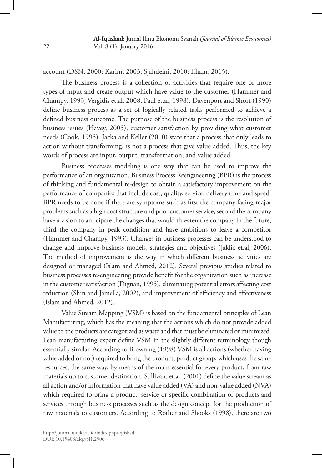account (DSN, 2000; Karim, 2003; Sjahdeini, 2010; Ifham, 2015).

The business process is a collection of activities that require one or more types of input and create output which have value to the customer (Hammer and Champy, 1993, Vergidis et.al, 2008, Paul et.al, 1998). Davenport and Short (1990) define business process as a set of logically related tasks performed to achieve a defined business outcome. The purpose of the business process is the resolution of business issues (Havey, 2005), customer satisfaction by providing what customer needs (Cook, 1995). Jacka and Keller (2010) state that a process that only leads to action without transforming, is not a process that give value added. Thus, the key words of process are input, output, transformation, and value added.

Business processes modeling is one way that can be used to improve the performance of an organization. Business Process Reengineering (BPR) is the process of thinking and fundamental re-design to obtain a satisfactory improvement on the performance of companies that include cost, quality, service, delivery time and speed. BPR needs to be done if there are symptoms such as first the company facing major problems such as a high cost structure and poor customer service, second the company have a vision to anticipate the changes that would threaten the company in the future, third the company in peak condition and have ambitions to leave a competitor (Hammer and Champy, 1993). Changes in business processes can be understood to change and improve business models, strategies and objectives (Jaklic et.al, 2006). The method of improvement is the way in which different business activities are designed or managed (Islam and Ahmed, 2012). Several previous studies related to business processes re-engineering provide benefit for the organization such as increase in the customer satisfaction (Dignan, 1995), eliminating potential errors affecting cost reduction (Shin and Jamella, 2002), and improvement of efficiency and effectiveness (Islam and Ahmed, 2012).

Value Stream Mapping (VSM) is based on the fundamental principles of Lean Manufacturing, which has the meaning that the actions which do not provide added value to the products are categorized as waste and that must be eliminated or minimized. Lean manufacturing expert define VSM in the slightly different terminology though essentially similar. According to Browning (1998) VSM is all actions (whether having value added or not) required to bring the product, product group, which uses the same resources, the same way, by means of the main essential for every product, from raw materials up to customer destination. Sullivan, et.al. (2001) define the value stream as all action and/or information that have value added (VA) and non-value added (NVA) which required to bring a product, service or specific combination of products and services through business processes such as the design concept for the production of raw materials to customers. According to Rother and Shooks (1998), there are two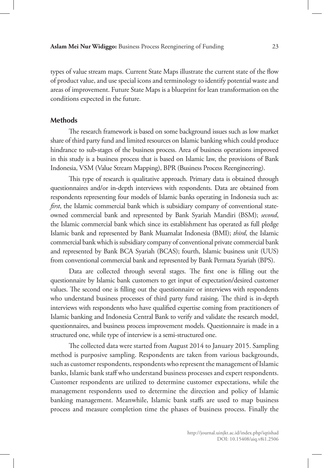types of value stream maps. Current State Maps illustrate the current state of the flow of product value, and use special icons and terminology to identify potential waste and areas of improvement. Future State Maps is a blueprint for lean transformation on the conditions expected in the future.

## **Methods**

The research framework is based on some background issues such as low market share of third party fund and limited resources on Islamic banking which could produce hindrance to sub-stages of the business process. Area of business operations improved in this study is a business process that is based on Islamic law, the provisions of Bank Indonesia, VSM (Value Stream Mapping), BPR (Business Process Reengineering).

This type of research is qualitative approach. Primary data is obtained through questionnaires and/or in-depth interviews with respondents. Data are obtained from respondents representing four models of Islamic banks operating in Indonesia such as: *first*, the Islamic commercial bank which is subsidiary company of conventional stateowned commercial bank and represented by Bank Syariah Mandiri (BSM); *second*, the Islamic commercial bank which since its establishment has operated as full pledge Islamic bank and represented by Bank Muamalat Indonesia (BMI); *third*, the Islamic commercial bank which is subsidiary company of conventional private commercial bank and represented by Bank BCA Syariah (BCAS); fourth, Islamic business unit (UUS) from conventional commercial bank and represented by Bank Permata Syariah (BPS).

Data are collected through several stages. The first one is filling out the questionnaire by Islamic bank customers to get input of expectation/desired customer values. The second one is filling out the questionnaire or interviews with respondents who understand business processes of third party fund raising. The third is in-depth interviews with respondents who have qualified expertise coming from practitioners of Islamic banking and Indonesia Central Bank to verify and validate the research model, questionnaires, and business process improvement models. Questionnaire is made in a structured one, while type of interview is a semi-structured one.

The collected data were started from August 2014 to January 2015. Sampling method is purposive sampling. Respondents are taken from various backgrounds, such as customer respondents, respondents who represent the management of Islamic banks, Islamic bank staff who understand business processes and expert respondents. Customer respondents are utilized to determine customer expectations, while the management respondents used to determine the direction and policy of Islamic banking management. Meanwhile, Islamic bank staffs are used to map business process and measure completion time the phases of business process. Finally the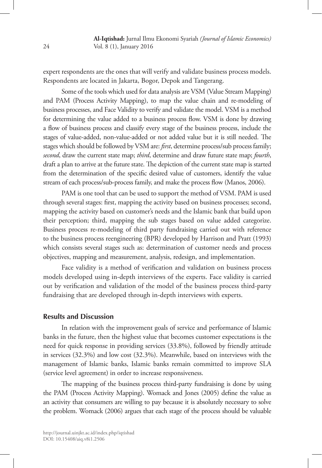expert respondents are the ones that will verify and validate business process models. Respondents are located in Jakarta, Bogor, Depok and Tangerang.

Some of the tools which used for data analysis are VSM (Value Stream Mapping) and PAM (Process Activity Mapping), to map the value chain and re-modeling of business processes, and Face Validity to verify and validate the model. VSM is a method for determining the value added to a business process flow. VSM is done by drawing a flow of business process and classify every stage of the business process, include the stages of value-added, non-value-added or not added value but it is still needed. The stages which should be followed by VSM are: *first*, determine process/sub process family; *second*, draw the current state map; *third*, determine and draw future state map; *fourth*, draft a plan to arrive at the future state. The depiction of the current state map is started from the determination of the specific desired value of customers, identify the value stream of each process/sub-process family, and make the process flow (Manos, 2006).

PAM is one tool that can be used to support the method of VSM. PAM is used through several stages: first, mapping the activity based on business processes; second, mapping the activity based on customer's needs and the Islamic bank that build upon their perception; third, mapping the sub stages based on value added categorize. Business process re-modeling of third party fundraising carried out with reference to the business process reengineering (BPR) developed by Harrison and Pratt (1993) which consists several stages such as: determination of customer needs and process objectives, mapping and measurement, analysis, redesign, and implementation.

Face validity is a method of verification and validation on business process models developed using in-depth interviews of the experts. Face validity is carried out by verification and validation of the model of the business process third-party fundraising that are developed through in-depth interviews with experts.

#### **Results and Discussion**

In relation with the improvement goals of service and performance of Islamic banks in the future, then the highest value that becomes customer expectations is the need for quick response in providing services (33.8%), followed by friendly attitude in services (32.3%) and low cost (32.3%). Meanwhile, based on interviews with the management of Islamic banks, Islamic banks remain committed to improve SLA (service level agreement) in order to increase responsiveness.

The mapping of the business process third-party fundraising is done by using the PAM (Process Activity Mapping). Womack and Jones (2005) define the value as an activity that consumers are willing to pay because it is absolutely necessary to solve the problem. Womack (2006) argues that each stage of the process should be valuable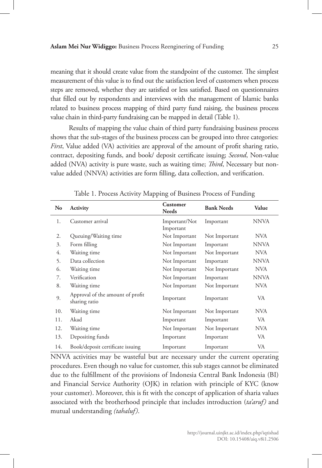meaning that it should create value from the standpoint of the customer. The simplest measurement of this value is to find out the satisfaction level of customers when process steps are removed, whether they are satisfied or less satisfied. Based on questionnaires that filled out by respondents and interviews with the management of Islamic banks related to business process mapping of third party fund raising, the business process value chain in third-party fundraising can be mapped in detail (Table 1).

Results of mapping the value chain of third party fundraising business process shows that the sub-stages of the business process can be grouped into three categories: *First*, Value added (VA) activities are approval of the amount of profit sharing ratio, contract, depositing funds, and book/ deposit certificate issuing; *Second*, Non-value added (NVA) activity is pure waste, such as waiting time; *Third*, Necessary but nonvalue added (NNVA) activities are form filling, data collection, and verification.

| No  | Activity                                          | <b>Customer</b><br><b>Needs</b> | <b>Bank Needs</b> | Value       |
|-----|---------------------------------------------------|---------------------------------|-------------------|-------------|
| 1.  | Customer arrival                                  | Important/Not<br>Important      | Important         | <b>NNVA</b> |
| 2.  | Queuing/Waiting time                              | Not Important                   | Not Important     | <b>NVA</b>  |
| 3.  | Form filling                                      | Not Important                   | Important         | <b>NNVA</b> |
| 4.  | Waiting time                                      | Not Important                   | Not Important     | <b>NVA</b>  |
| 5.  | Data collection                                   | Not Important                   | Important         | <b>NNVA</b> |
| 6.  | Waiting time                                      | Not Important                   | Not Important     | <b>NVA</b>  |
| 7.  | Verification                                      | Not Important                   | Important         | <b>NNVA</b> |
| 8.  | Waiting time                                      | Not Important                   | Not Important     | <b>NVA</b>  |
| 9.  | Approval of the amount of profit<br>sharing ratio | Important                       | Important         | VA          |
| 10. | Waiting time                                      | Not Important                   | Not Important     | <b>NVA</b>  |
| 11. | Akad                                              | Important                       | Important         | VA          |
| 12. | Waiting time                                      | Not Important                   | Not Important     | <b>NVA</b>  |
| 13. | Depositing funds                                  | Important                       | Important         | VA          |
| 14. | Book/deposit certificate issuing                  | Important                       | Important         | VA          |

Table 1. Process Activity Mapping of Business Process of Funding

NNVA activities may be wasteful but are necessary under the current operating procedures. Even though no value for customer, this sub stages cannot be eliminated due to the fulfillment of the provisions of Indonesia Central Bank Indonesia (BI) and Financial Service Authority (OJK) in relation with principle of KYC (know your customer). Moreover, this is fit with the concept of application of sharia values associated with the brotherhood principle that includes introduction (*ta'aruf)* and mutual understanding *(tahaluf)*.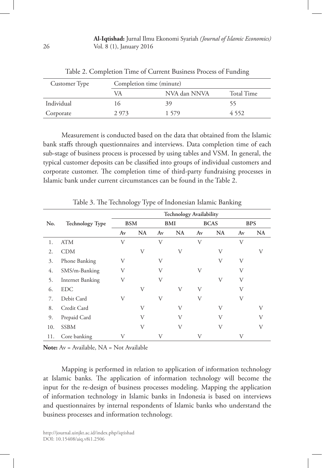**Al-Iqtishad:** Jurnal Ilmu Ekonomi Syariah *(Journal of Islamic Economics)* Vol. 8 (1), January 2016

| Customer Type |      | Completion time (minute) |            |  |  |  |
|---------------|------|--------------------------|------------|--|--|--|
|               | VA   | NVA dan NNVA             | Total Time |  |  |  |
| Individual    | I (٦ | 39                       | רר         |  |  |  |
| Corporate     | 2973 | 1 579                    | 4 5 5 2    |  |  |  |

Table 2. Completion Time of Current Business Process of Funding

Measurement is conducted based on the data that obtained from the Islamic bank staffs through questionnaires and interviews. Data completion time of each sub-stage of business process is processed by using tables and VSM. In general, the typical customer deposits can be classified into groups of individual customers and corporate customer. The completion time of third-party fundraising processes in Islamic bank under current circumstances can be found in the Table 2.

|     | <b>Technology Type</b>  | <b>Technology Availability</b> |           |               |           |               |           |            |           |
|-----|-------------------------|--------------------------------|-----------|---------------|-----------|---------------|-----------|------------|-----------|
| No. |                         | <b>BSM</b>                     |           | <b>BMI</b>    |           | <b>BCAS</b>   |           | <b>BPS</b> |           |
|     |                         | Av                             | <b>NA</b> | $A\mathbf{v}$ | <b>NA</b> | $A\mathbf{v}$ | <b>NA</b> | Av         | <b>NA</b> |
| 1.  | <b>ATM</b>              | V                              |           | V             |           | V             |           | V          |           |
| 2.  | <b>CDM</b>              |                                | V         |               | V         |               | V         |            | V         |
| 3.  | Phone Banking           | V                              |           | V             |           |               | V         | V          |           |
| 4.  | SMS/m-Banking           | V                              |           | V             |           | V             |           | V          |           |
| 5.  | <b>Internet Banking</b> | V                              |           | V             |           |               | V         | V          |           |
| 6.  | <b>EDC</b>              |                                | V         |               | V         | V             |           | V          |           |
| 7.  | Debit Card              | V                              |           | V             |           | V             |           | V          |           |
| 8.  | Credit Card             |                                | V         |               | V         |               | V         |            | V         |
| 9.  | Prepaid Card            |                                | V         |               | V         |               | V         |            | V         |
| 10. | <b>SSBM</b>             |                                | V         |               | V         |               | V         |            | V         |
| 11. | Core banking            | V                              |           | V             |           | V             |           | V          |           |

Table 3. The Technology Type of Indonesian Islamic Banking

**Note:** Av = Available, NA = Not Available

Mapping is performed in relation to application of information technology at Islamic banks. The application of information technology will become the input for the re-design of business processes modeling. Mapping the application of information technology in Islamic banks in Indonesia is based on interviews and questionnaires by internal respondents of Islamic banks who understand the business processes and information technology.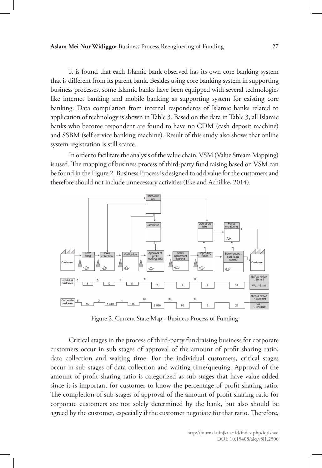#### **Aslam Mei Nur Widiggo:** Business Process Reenginering of Funding 27

It is found that each Islamic bank observed has its own core banking system that is different from its parent bank. Besides using core banking system in supporting business processes, some Islamic banks have been equipped with several technologies like internet banking and mobile banking as supporting system for existing core banking. Data compilation from internal respondents of Islamic banks related to application of technology is shown in Table 3. Based on the data in Table 3, all Islamic banks who become respondent are found to have no CDM (cash deposit machine) and SSBM (self service banking machine). Result of this study also shows that online system registration is still scarce.

In order to facilitate the analysis of the value chain, VSM (Value Stream Mapping) is used. The mapping of business process of third-party fund raising based on VSM can be found in the Figure 2. Business Process is designed to add value for the customers and therefore should not include unnecessary activities (Eke and Achilike, 2014).



Figure 2. Current State Map - Business Process of Funding

Critical stages in the process of third-party fundraising business for corporate customers occur in sub stages of approval of the amount of profit sharing ratio, data collection and waiting time. For the individual customers, critical stages occur in sub stages of data collection and waiting time/queuing. Approval of the amount of profit sharing ratio is categorized as sub stages that have value added since it is important for customer to know the percentage of profit-sharing ratio. The completion of sub-stages of approval of the amount of profit sharing ratio for corporate customers are not solely determined by the bank, but also should be agreed by the customer, especially if the customer negotiate for that ratio. Therefore,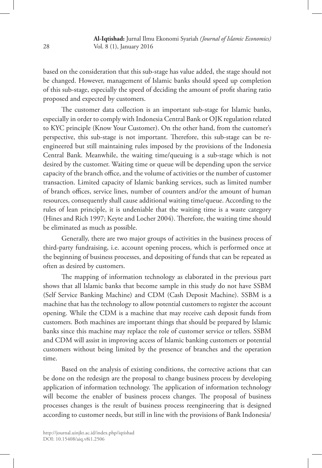based on the consideration that this sub-stage has value added, the stage should not be changed. However, management of Islamic banks should speed up completion of this sub-stage, especially the speed of deciding the amount of profit sharing ratio proposed and expected by customers.

The customer data collection is an important sub-stage for Islamic banks, especially in order to comply with Indonesia Central Bank or OJK regulation related to KYC principle (Know Your Customer). On the other hand, from the customer's perspective, this sub-stage is not important. Therefore, this sub-stage can be reengineered but still maintaining rules imposed by the provisions of the Indonesia Central Bank. Meanwhile, the waiting time/queuing is a sub-stage which is not desired by the customer. Waiting time or queue will be depending upon the service capacity of the branch office, and the volume of activities or the number of customer transaction. Limited capacity of Islamic banking services, such as limited number of branch offices, service lines, number of counters and/or the amount of human resources, consequently shall cause additional waiting time/queue. According to the rules of lean principle, it is undeniable that the waiting time is a waste category (Hines and Rich 1997; Keyte and Locher 2004). Therefore, the waiting time should be eliminated as much as possible.

Generally, there are two major groups of activities in the business process of third-party fundraising, i.e. account opening process, which is performed once at the beginning of business processes, and depositing of funds that can be repeated as often as desired by customers.

The mapping of information technology as elaborated in the previous part shows that all Islamic banks that become sample in this study do not have SSBM (Self Service Banking Machine) and CDM (Cash Deposit Machine). SSBM is a machine that has the technology to allow potential customers to register the account opening. While the CDM is a machine that may receive cash deposit funds from customers. Both machines are important things that should be prepared by Islamic banks since this machine may replace the role of customer service or tellers. SSBM and CDM will assist in improving access of Islamic banking customers or potential customers without being limited by the presence of branches and the operation time.

Based on the analysis of existing conditions, the corrective actions that can be done on the redesign are the proposal to change business process by developing application of information technology. The application of information technology will become the enabler of business process changes. The proposal of business processes changes is the result of business process reengineering that is designed according to customer needs, but still in line with the provisions of Bank Indonesia/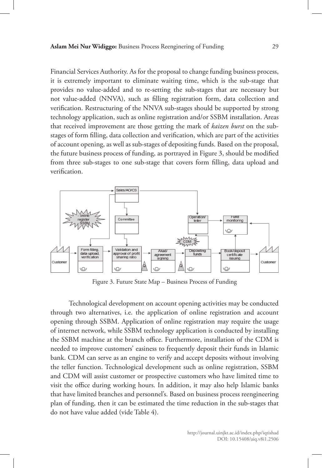Financial Services Authority. As for the proposal to change funding business process, it is extremely important to eliminate waiting time, which is the sub-stage that provides no value-added and to re-setting the sub-stages that are necessary but not value-added (NNVA), such as filling registration form, data collection and verification. Restructuring of the NNVA sub-stages should be supported by strong technology application, such as online registration and/or SSBM installation. Areas that received improvement are those getting the mark of *kaizen burst* on the substages of form filling, data collection and verification, which are part of the activities of account opening, as well as sub-stages of depositing funds. Based on the proposal, the future business process of funding, as portrayed in Figure 3, should be modified from three sub-stages to one sub-stage that covers form filling, data upload and verification.



Figure 3. Future State Map – Business Process of Funding

Technological development on account opening activities may be conducted through two alternatives, i.e. the application of online registration and account opening through SSBM. Application of online registration may require the usage of internet network, while SSBM technology application is conducted by installing the SSBM machine at the branch office. Furthermore, installation of the CDM is needed to improve customers' easiness to frequently deposit their funds in Islamic bank. CDM can serve as an engine to verify and accept deposits without involving the teller function. Technological development such as online registration, SSBM and CDM will assist customer or prospective customers who have limited time to visit the office during working hours. In addition, it may also help Islamic banks that have limited branches and personnel's. Based on business process reengineering plan of funding, then it can be estimated the time reduction in the sub-stages that do not have value added (vide Table 4).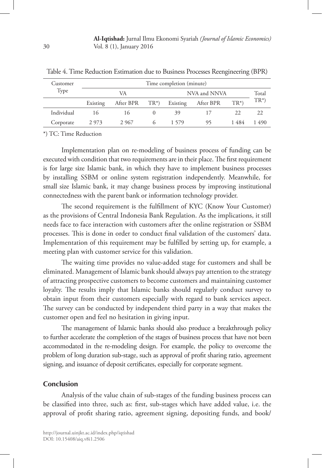**Al-Iqtishad:** Jurnal Ilmu Ekonomi Syariah *(Journal of Islamic Economics)* Vol. 8 (1), January 2016

| Customer   | Time completion (minute) |                 |        |          |              |        |        |  |
|------------|--------------------------|-----------------|--------|----------|--------------|--------|--------|--|
| Type       |                          | VA              |        |          | NVA and NNVA |        | Total  |  |
|            | Existing                 | After BPR       | $TR^*$ | Existing | After BPR    | $TR^*$ | $TR^*$ |  |
| Individual | 16                       | $\overline{16}$ |        | 39       |              | 22     | 22     |  |
| Corporate  | 2 9 7 3                  | 2 9 6 7         |        | 1.579    | 95           | 1484   | 1490   |  |

Table 4. Time Reduction Estimation due to Business Processes Reengineering (BPR)

\*) TC: Time Reduction

Implementation plan on re-modeling of business process of funding can be executed with condition that two requirements are in their place. The first requirement is for large size Islamic bank, in which they have to implement business processes by installing SSBM or online system registration independently. Meanwhile, for small size Islamic bank, it may change business process by improving institutional connectedness with the parent bank or information technology provider.

The second requirement is the fulfillment of KYC (Know Your Customer) as the provisions of Central Indonesia Bank Regulation. As the implications, it still needs face to face interaction with customers after the online registration or SSBM processes. This is done in order to conduct final validation of the customers' data. Implementation of this requirement may be fulfilled by setting up, for example, a meeting plan with customer service for this validation.

The waiting time provides no value-added stage for customers and shall be eliminated. Management of Islamic bank should always pay attention to the strategy of attracting prospective customers to become customers and maintaining customer loyalty. The results imply that Islamic banks should regularly conduct survey to obtain input from their customers especially with regard to bank services aspect. The survey can be conducted by independent third party in a way that makes the customer open and feel no hesitation in giving input.

The management of Islamic banks should also produce a breakthrough policy to further accelerate the completion of the stages of business process that have not been accommodated in the re-modeling design. For example, the policy to overcome the problem of long duration sub-stage, such as approval of profit sharing ratio, agreement signing, and issuance of deposit certificates, especially for corporate segment.

### **Conclusion**

Analysis of the value chain of sub-stages of the funding business process can be classified into three, such as: first, sub-stages which have added value, i.e. the approval of profit sharing ratio, agreement signing, depositing funds, and book/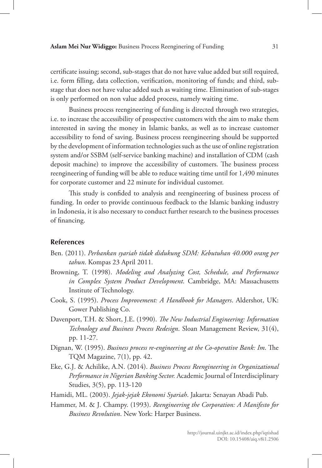certificate issuing; second, sub-stages that do not have value added but still required, i.e. form filling, data collection, verification, monitoring of funds; and third, substage that does not have value added such as waiting time. Elimination of sub-stages is only performed on non value added process, namely waiting time.

Business process reengineering of funding is directed through two strategies, i.e. to increase the accessibility of prospective customers with the aim to make them interested in saving the money in Islamic banks, as well as to increase customer accessibility to fond of saving. Business process reengineering should be supported by the development of information technologies such as the use of online registration system and/or SSBM (self-service banking machine) and installation of CDM (cash deposit machine) to improve the accessibility of customers. The business process reengineering of funding will be able to reduce waiting time until for 1,490 minutes for corporate customer and 22 minute for individual customer.

This study is confided to analysis and reengineering of business process of funding. In order to provide continuous feedback to the Islamic banking industry in Indonesia, it is also necessary to conduct further research to the business processes of financing.

## **References**

- Ben. (2011). *Perbankan syariah tidak didukung SDM: Kebutuhan 40.000 orang per tahun*. Kompas 23 April 2011*.*
- Browning, T. (1998). *Modeling and Analyzing Cost, Schedule, and Performance in Complex System Product Development*. Cambridge, MA: Massachusetts Institute of Technology.
- Cook, S. (1995). *Process Improvement: A Handbook for Managers*. Aldershot, UK: Gower Publishing Co.
- Davenport, T.H. & Short, J.E. (1990). *The New Industrial Engineering: Information Technology and Business Process Redesign*. Sloan Management Review, 31(4), pp. 11-27.
- Dignan, W. (1995). *Business process re-engineering at the Co-operative Bank: Im*. The TQM Magazine, 7(1), pp. 42.
- Eke, G.J. & Achilike, A.N. (2014). *Business Process Reengineering in Organizational Performance in Nigerian Banking Sector.* Academic Journal of Interdisciplinary Studies, 3(5), pp. 113-120
- Hamidi, ML. (2003). *Jejak-jejak Ekonomi Syariah*. Jakarta: Senayan Abadi Pub.
- Hammer, M. & J. Champy. (1993). *Reengineering the Corporation: A Manifesto for Business Revolution*. New York: Harper Business.